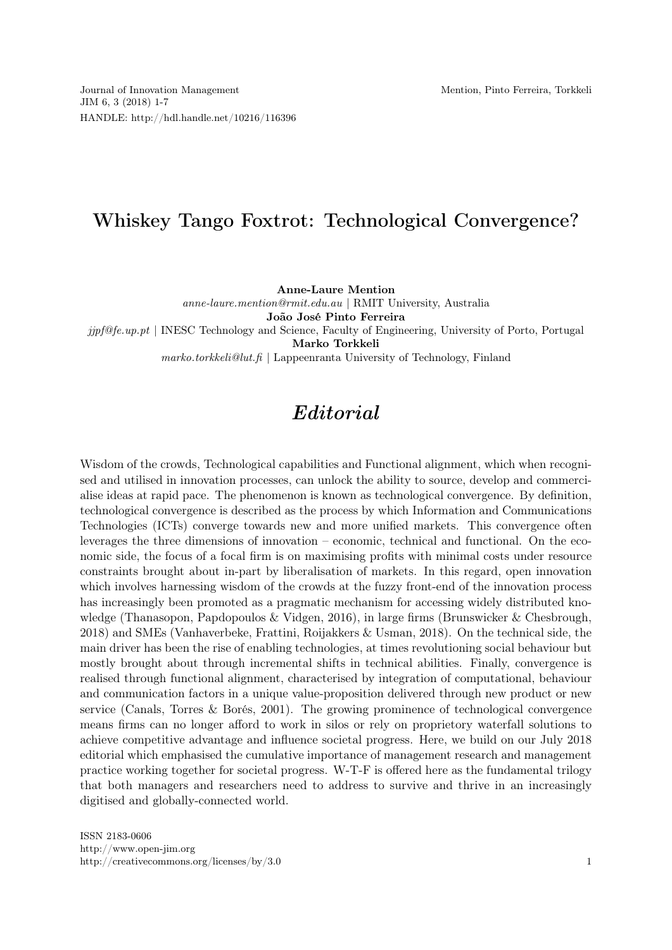## Whiskey Tango Foxtrot: Technological Convergence?

Anne-Laure Mention

anne-laure.mention@rmit.edu.au | RMIT University, Australia João José Pinto Ferreira  $jipf@fe.up pt$  | INESC Technology and Science, Faculty of Engineering, University of Porto, Portugal Marko Torkkeli

 $marko.$ torkkeli@lut.fi | Lappeenranta University of Technology, Finland

## Editorial

Wisdom of the crowds, Technological capabilities and Functional alignment, which when recognised and utilised in innovation processes, can unlock the ability to source, develop and commercialise ideas at rapid pace. The phenomenon is known as technological convergence. By definition, technological convergence is described as the process by which Information and Communications Technologies (ICTs) converge towards new and more unified markets. This convergence often leverages the three dimensions of innovation – economic, technical and functional. On the economic side, the focus of a focal firm is on maximising profits with minimal costs under resource constraints brought about in-part by liberalisation of markets. In this regard, open innovation which involves harnessing wisdom of the crowds at the fuzzy front-end of the innovation process has increasingly been promoted as a pragmatic mechanism for accessing widely distributed knowledge (Thanasopon, Papdopoulos & Vidgen, 2016), in large firms (Brunswicker & Chesbrough, 2018) and SMEs (Vanhaverbeke, Frattini, Roijakkers & Usman, 2018). On the technical side, the main driver has been the rise of enabling technologies, at times revolutioning social behaviour but mostly brought about through incremental shifts in technical abilities. Finally, convergence is realised through functional alignment, characterised by integration of computational, behaviour and communication factors in a unique value-proposition delivered through new product or new service (Canals, Torres & Borés, 2001). The growing prominence of technological convergence means firms can no longer afford to work in silos or rely on proprietory waterfall solutions to achieve competitive advantage and influence societal progress. Here, we build on our July 2018 editorial which emphasised the cumulative importance of management research and management practice working together for societal progress. W-T-F is offered here as the fundamental trilogy that both managers and researchers need to address to survive and thrive in an increasingly digitised and globally-connected world.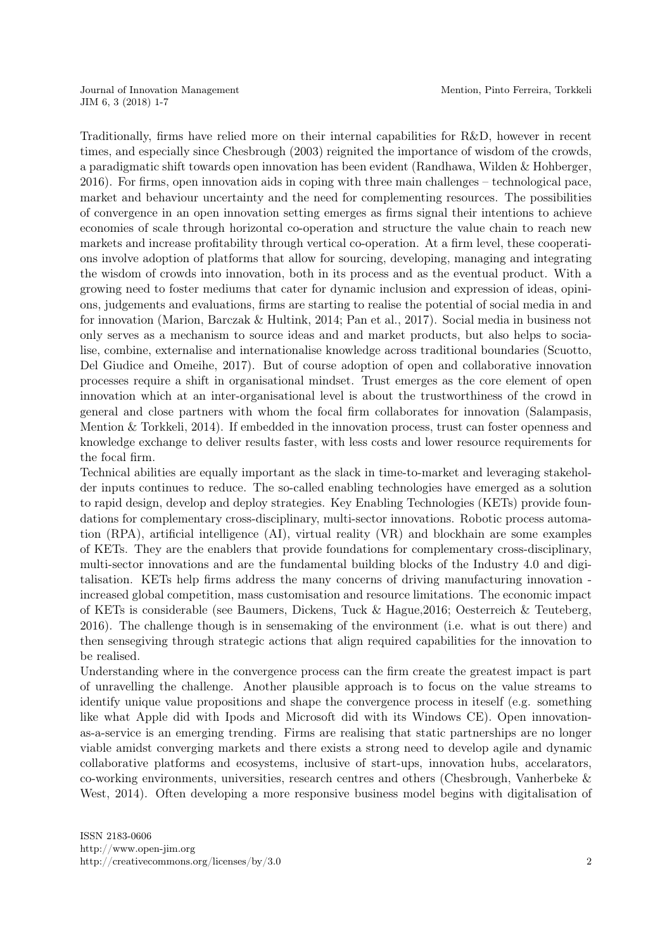Traditionally, firms have relied more on their internal capabilities for R&D, however in recent times, and especially since Chesbrough (2003) reignited the importance of wisdom of the crowds, a paradigmatic shift towards open innovation has been evident (Randhawa, Wilden & Hohberger, 2016). For firms, open innovation aids in coping with three main challenges – technological pace, market and behaviour uncertainty and the need for complementing resources. The possibilities of convergence in an open innovation setting emerges as firms signal their intentions to achieve economies of scale through horizontal co-operation and structure the value chain to reach new markets and increase profitability through vertical co-operation. At a firm level, these cooperations involve adoption of platforms that allow for sourcing, developing, managing and integrating the wisdom of crowds into innovation, both in its process and as the eventual product. With a growing need to foster mediums that cater for dynamic inclusion and expression of ideas, opinions, judgements and evaluations, firms are starting to realise the potential of social media in and for innovation (Marion, Barczak & Hultink, 2014; Pan et al., 2017). Social media in business not only serves as a mechanism to source ideas and and market products, but also helps to socialise, combine, externalise and internationalise knowledge across traditional boundaries (Scuotto, Del Giudice and Omeihe, 2017). But of course adoption of open and collaborative innovation processes require a shift in organisational mindset. Trust emerges as the core element of open innovation which at an inter-organisational level is about the trustworthiness of the crowd in general and close partners with whom the focal firm collaborates for innovation (Salampasis, Mention & Torkkeli, 2014). If embedded in the innovation process, trust can foster openness and knowledge exchange to deliver results faster, with less costs and lower resource requirements for the focal firm.

Technical abilities are equally important as the slack in time-to-market and leveraging stakeholder inputs continues to reduce. The so-called enabling technologies have emerged as a solution to rapid design, develop and deploy strategies. Key Enabling Technologies (KETs) provide foundations for complementary cross-disciplinary, multi-sector innovations. Robotic process automation (RPA), artificial intelligence (AI), virtual reality (VR) and blockhain are some examples of KETs. They are the enablers that provide foundations for complementary cross-disciplinary, multi-sector innovations and are the fundamental building blocks of the Industry 4.0 and digitalisation. KETs help firms address the many concerns of driving manufacturing innovation increased global competition, mass customisation and resource limitations. The economic impact of KETs is considerable (see Baumers, Dickens, Tuck & Hague,2016; Oesterreich & Teuteberg, 2016). The challenge though is in sensemaking of the environment (i.e. what is out there) and then sensegiving through strategic actions that align required capabilities for the innovation to be realised.

Understanding where in the convergence process can the firm create the greatest impact is part of unravelling the challenge. Another plausible approach is to focus on the value streams to identify unique value propositions and shape the convergence process in iteself (e.g. something like what Apple did with Ipods and Microsoft did with its Windows CE). Open innovationas-a-service is an emerging trending. Firms are realising that static partnerships are no longer viable amidst converging markets and there exists a strong need to develop agile and dynamic collaborative platforms and ecosystems, inclusive of start-ups, innovation hubs, accelarators, co-working environments, universities, research centres and others (Chesbrough, Vanherbeke & West, 2014). Often developing a more responsive business model begins with digitalisation of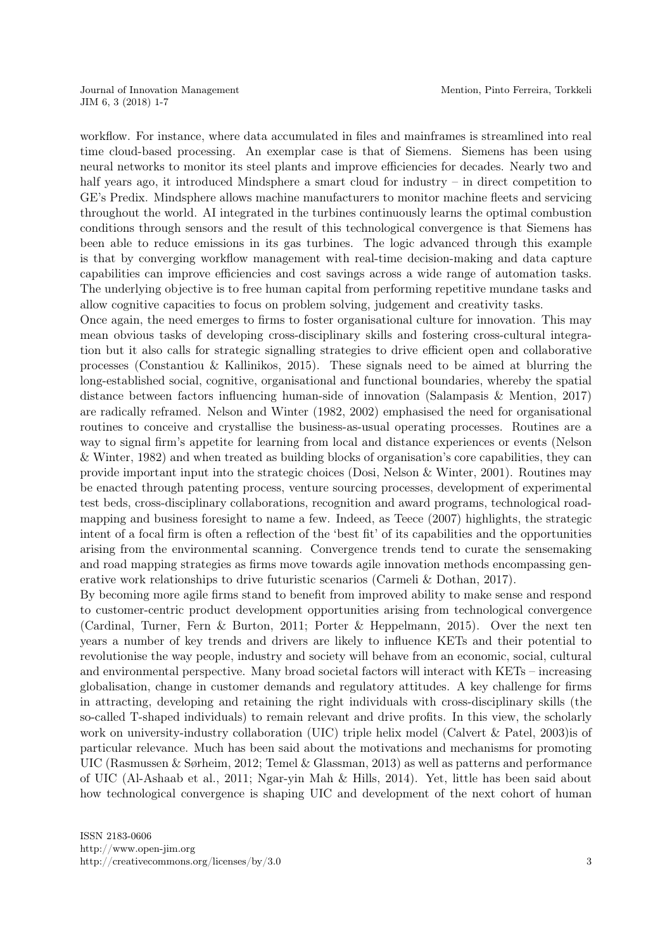workflow. For instance, where data accumulated in files and mainframes is streamlined into real time cloud-based processing. An exemplar case is that of Siemens. Siemens has been using neural networks to monitor its steel plants and improve efficiencies for decades. Nearly two and half years ago, it introduced Mindsphere a smart cloud for industry – in direct competition to GE's Predix. Mindsphere allows machine manufacturers to monitor machine fleets and servicing throughout the world. AI integrated in the turbines continuously learns the optimal combustion conditions through sensors and the result of this technological convergence is that Siemens has been able to reduce emissions in its gas turbines. The logic advanced through this example is that by converging workflow management with real-time decision-making and data capture capabilities can improve efficiencies and cost savings across a wide range of automation tasks. The underlying objective is to free human capital from performing repetitive mundane tasks and allow cognitive capacities to focus on problem solving, judgement and creativity tasks.

Once again, the need emerges to firms to foster organisational culture for innovation. This may mean obvious tasks of developing cross-disciplinary skills and fostering cross-cultural integration but it also calls for strategic signalling strategies to drive efficient open and collaborative processes (Constantiou & Kallinikos, 2015). These signals need to be aimed at blurring the long-established social, cognitive, organisational and functional boundaries, whereby the spatial distance between factors influencing human-side of innovation (Salampasis & Mention, 2017) are radically reframed. Nelson and Winter (1982, 2002) emphasised the need for organisational routines to conceive and crystallise the business-as-usual operating processes. Routines are a way to signal firm's appetite for learning from local and distance experiences or events (Nelson & Winter, 1982) and when treated as building blocks of organisation's core capabilities, they can provide important input into the strategic choices (Dosi, Nelson & Winter, 2001). Routines may be enacted through patenting process, venture sourcing processes, development of experimental test beds, cross-disciplinary collaborations, recognition and award programs, technological roadmapping and business foresight to name a few. Indeed, as Teece (2007) highlights, the strategic intent of a focal firm is often a reflection of the 'best fit' of its capabilities and the opportunities arising from the environmental scanning. Convergence trends tend to curate the sensemaking and road mapping strategies as firms move towards agile innovation methods encompassing generative work relationships to drive futuristic scenarios (Carmeli & Dothan, 2017).

By becoming more agile firms stand to benefit from improved ability to make sense and respond to customer-centric product development opportunities arising from technological convergence (Cardinal, Turner, Fern & Burton, 2011; Porter & Heppelmann, 2015). Over the next ten years a number of key trends and drivers are likely to influence KETs and their potential to revolutionise the way people, industry and society will behave from an economic, social, cultural and environmental perspective. Many broad societal factors will interact with KETs – increasing globalisation, change in customer demands and regulatory attitudes. A key challenge for firms in attracting, developing and retaining the right individuals with cross-disciplinary skills (the so-called T-shaped individuals) to remain relevant and drive profits. In this view, the scholarly work on university-industry collaboration (UIC) triple helix model (Calvert & Patel, 2003)is of particular relevance. Much has been said about the motivations and mechanisms for promoting UIC (Rasmussen & Sørheim, 2012; Temel & Glassman, 2013) as well as patterns and performance of UIC (Al-Ashaab et al., 2011; Ngar-yin Mah & Hills, 2014). Yet, little has been said about how technological convergence is shaping UIC and development of the next cohort of human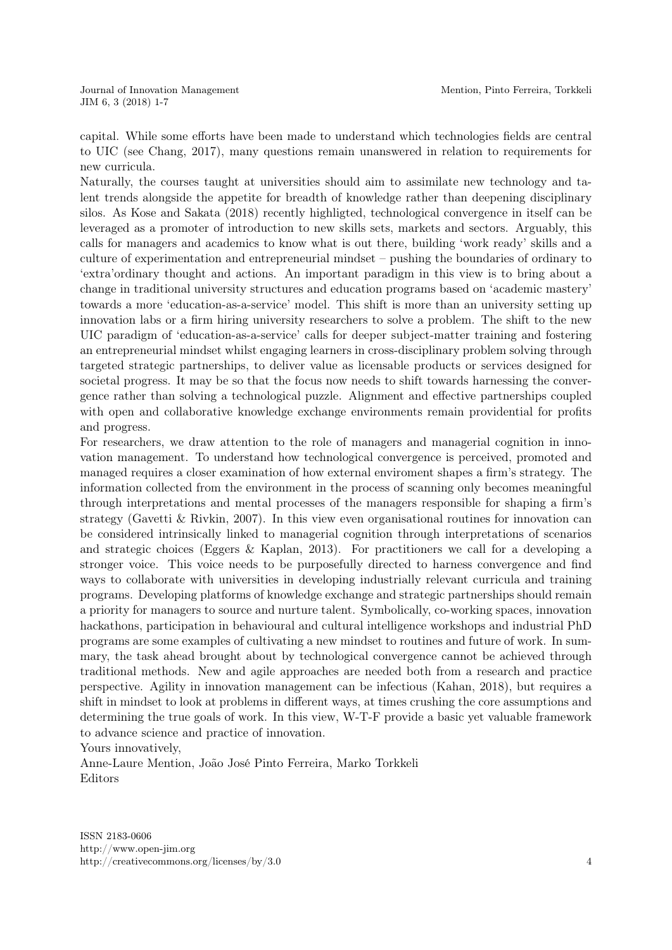capital. While some efforts have been made to understand which technologies fields are central to UIC (see Chang, 2017), many questions remain unanswered in relation to requirements for new curricula.

Naturally, the courses taught at universities should aim to assimilate new technology and talent trends alongside the appetite for breadth of knowledge rather than deepening disciplinary silos. As Kose and Sakata (2018) recently highligted, technological convergence in itself can be leveraged as a promoter of introduction to new skills sets, markets and sectors. Arguably, this calls for managers and academics to know what is out there, building 'work ready' skills and a culture of experimentation and entrepreneurial mindset – pushing the boundaries of ordinary to 'extra'ordinary thought and actions. An important paradigm in this view is to bring about a change in traditional university structures and education programs based on 'academic mastery' towards a more 'education-as-a-service' model. This shift is more than an university setting up innovation labs or a firm hiring university researchers to solve a problem. The shift to the new UIC paradigm of 'education-as-a-service' calls for deeper subject-matter training and fostering an entrepreneurial mindset whilst engaging learners in cross-disciplinary problem solving through targeted strategic partnerships, to deliver value as licensable products or services designed for societal progress. It may be so that the focus now needs to shift towards harnessing the convergence rather than solving a technological puzzle. Alignment and effective partnerships coupled with open and collaborative knowledge exchange environments remain providential for profits and progress.

For researchers, we draw attention to the role of managers and managerial cognition in innovation management. To understand how technological convergence is perceived, promoted and managed requires a closer examination of how external enviroment shapes a firm's strategy. The information collected from the environment in the process of scanning only becomes meaningful through interpretations and mental processes of the managers responsible for shaping a firm's strategy (Gavetti & Rivkin, 2007). In this view even organisational routines for innovation can be considered intrinsically linked to managerial cognition through interpretations of scenarios and strategic choices (Eggers & Kaplan, 2013). For practitioners we call for a developing a stronger voice. This voice needs to be purposefully directed to harness convergence and find ways to collaborate with universities in developing industrially relevant curricula and training programs. Developing platforms of knowledge exchange and strategic partnerships should remain a priority for managers to source and nurture talent. Symbolically, co-working spaces, innovation hackathons, participation in behavioural and cultural intelligence workshops and industrial PhD programs are some examples of cultivating a new mindset to routines and future of work. In summary, the task ahead brought about by technological convergence cannot be achieved through traditional methods. New and agile approaches are needed both from a research and practice perspective. Agility in innovation management can be infectious (Kahan, 2018), but requires a shift in mindset to look at problems in different ways, at times crushing the core assumptions and determining the true goals of work. In this view, W-T-F provide a basic yet valuable framework to advance science and practice of innovation.

Yours innovatively,

Anne-Laure Mention, João José Pinto Ferreira, Marko Torkkeli Editors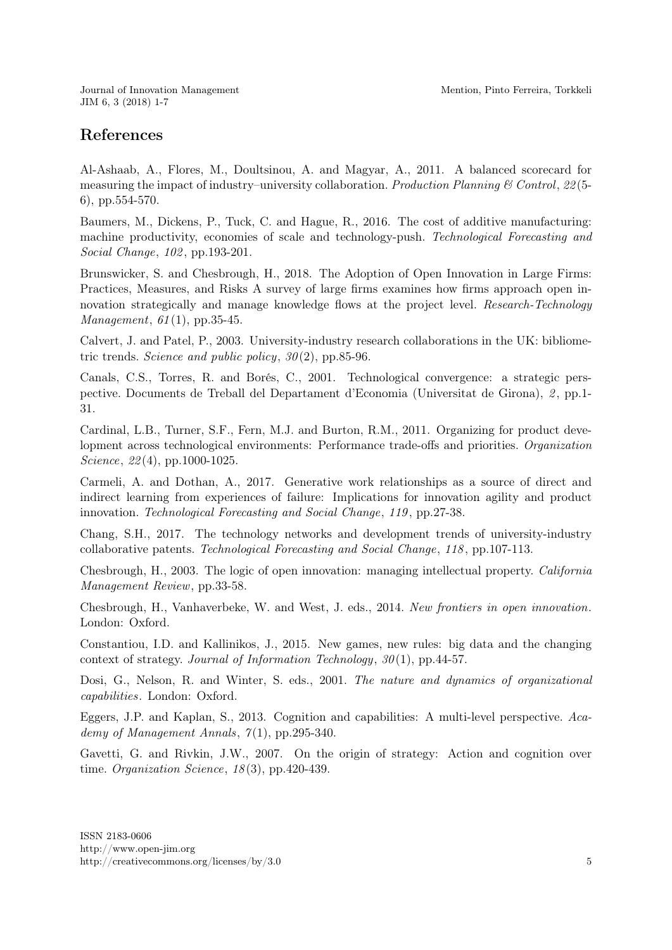Journal of Innovation Management JIM 6, 3 (2018) 1-7

## References

Al-Ashaab, A., Flores, M., Doultsinou, A. and Magyar, A., 2011. A balanced scorecard for measuring the impact of industry–university collaboration. Production Planning & Control, 22(5-6), pp.554-570.

Baumers, M., Dickens, P., Tuck, C. and Hague, R., 2016. The cost of additive manufacturing: machine productivity, economies of scale and technology-push. Technological Forecasting and Social Change, 102, pp.193-201.

Brunswicker, S. and Chesbrough, H., 2018. The Adoption of Open Innovation in Large Firms: Practices, Measures, and Risks A survey of large firms examines how firms approach open innovation strategically and manage knowledge flows at the project level. Research-Technology *Management*,  $61(1)$ , pp.35-45.

Calvert, J. and Patel, P., 2003. University-industry research collaborations in the UK: bibliometric trends. Science and public policy,  $30(2)$ , pp.85-96.

Canals, C.S., Torres, R. and Borés, C., 2001. Technological convergence: a strategic perspective. Documents de Treball del Departament d'Economia (Universitat de Girona), 2 , pp.1- 31.

Cardinal, L.B., Turner, S.F., Fern, M.J. and Burton, R.M., 2011. Organizing for product development across technological environments: Performance trade-offs and priorities. Organization Science, 22(4), pp.1000-1025.

Carmeli, A. and Dothan, A., 2017. Generative work relationships as a source of direct and indirect learning from experiences of failure: Implications for innovation agility and product innovation. Technological Forecasting and Social Change, 119 , pp.27-38.

Chang, S.H., 2017. The technology networks and development trends of university-industry collaborative patents. Technological Forecasting and Social Change, 118 , pp.107-113.

Chesbrough, H., 2003. The logic of open innovation: managing intellectual property. California Management Review, pp.33-58.

Chesbrough, H., Vanhaverbeke, W. and West, J. eds., 2014. New frontiers in open innovation. London: Oxford.

Constantiou, I.D. and Kallinikos, J., 2015. New games, new rules: big data and the changing context of strategy. Journal of Information Technology,  $30(1)$ , pp.44-57.

Dosi, G., Nelson, R. and Winter, S. eds., 2001. The nature and dynamics of organizational capabilities. London: Oxford.

Eggers, J.P. and Kaplan, S., 2013. Cognition and capabilities: A multi-level perspective. Academy of Management Annals,  $7(1)$ , pp.295-340.

Gavetti, G. and Rivkin, J.W., 2007. On the origin of strategy: Action and cognition over time. Organization Science,  $18(3)$ , pp.420-439.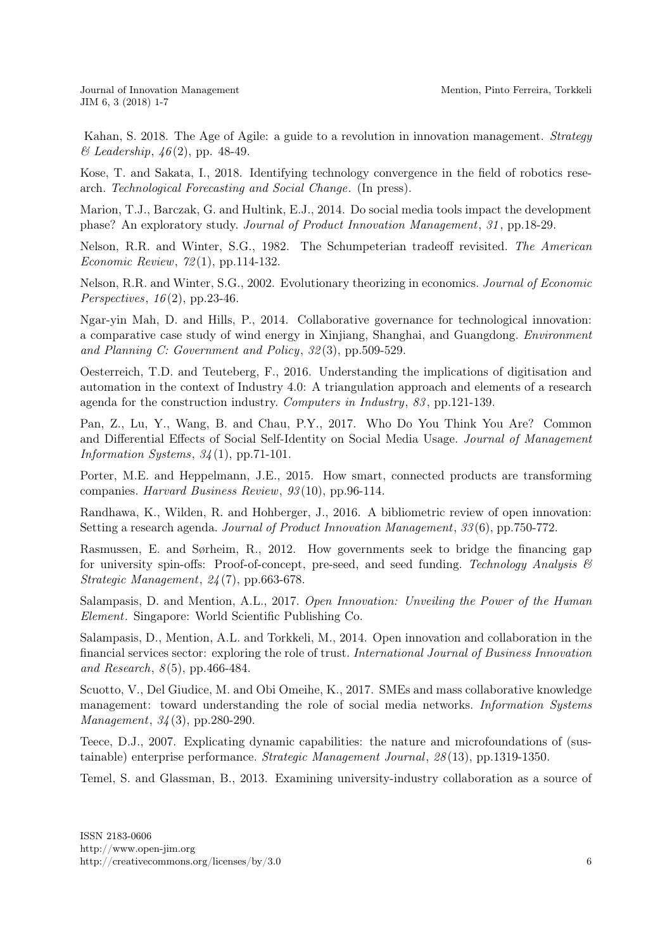Journal of Innovation Management JIM 6, 3 (2018) 1-7

[Kahan,](https://www.emeraldinsight.com/author/Kahan%2C+Seth) S. 2018. The Age of Agile: a guide to a revolution in innovation management. Strategy  $\mathscr$ *E Leadership*,  $\mathscr{A}6(2)$ , pp. 48-49.

Kose, T. and Sakata, I., 2018. Identifying technology convergence in the field of robotics research. Technological Forecasting and Social Change. (In press).

Marion, T.J., Barczak, G. and Hultink, E.J., 2014. Do social media tools impact the development phase? An exploratory study. Journal of Product Innovation Management, 31 , pp.18-29.

Nelson, R.R. and Winter, S.G., 1982. The Schumpeterian tradeoff revisited. The American Economic Review, 72 (1), pp.114-132.

Nelson, R.R. and Winter, S.G., 2002. Evolutionary theorizing in economics. Journal of Economic Perspectives,  $16(2)$ , pp.23-46.

Ngar-yin Mah, D. and Hills, P., 2014. Collaborative governance for technological innovation: a comparative case study of wind energy in Xinjiang, Shanghai, and Guangdong. Environment and Planning C: Government and Policy, 32 (3), pp.509-529.

Oesterreich, T.D. and Teuteberg, F., 2016. Understanding the implications of digitisation and automation in the context of Industry 4.0: A triangulation approach and elements of a research agenda for the construction industry. Computers in Industry, 83 , pp.121-139.

Pan, Z., Lu, Y., Wang, B. and Chau, P.Y., 2017. Who Do You Think You Are? Common and Differential Effects of Social Self-Identity on Social Media Usage. Journal of Management Information Systems,  $34(1)$ , pp.71-101.

Porter, M.E. and Heppelmann, J.E., 2015. How smart, connected products are transforming companies. Harvard Business Review, 93 (10), pp.96-114.

Randhawa, K., Wilden, R. and Hohberger, J., 2016. A bibliometric review of open innovation: Setting a research agenda. Journal of Product Innovation Management, 33 (6), pp.750-772.

Rasmussen, E. and Sørheim, R., 2012. How governments seek to bridge the financing gap for university spin-offs: Proof-of-concept, pre-seed, and seed funding. Technology Analysis  $\mathcal{B}$ Strategic Management, 24 (7), pp.663-678.

Salampasis, D. and Mention, A.L., 2017. Open Innovation: Unveiling the Power of the Human Element. Singapore: World Scientific Publishing Co.

Salampasis, D., Mention, A.L. and Torkkeli, M., 2014. Open innovation and collaboration in the financial services sector: exploring the role of trust. International Journal of Business Innovation and Research,  $8(5)$ , pp. 466-484.

Scuotto, V., Del Giudice, M. and Obi Omeihe, K., 2017. SMEs and mass collaborative knowledge management: toward understanding the role of social media networks. Information Systems Management, 34 (3), pp.280-290.

Teece, D.J., 2007. Explicating dynamic capabilities: the nature and microfoundations of (sustainable) enterprise performance. Strategic Management Journal, 28 (13), pp.1319-1350.

Temel, S. and Glassman, B., 2013. Examining university-industry collaboration as a source of